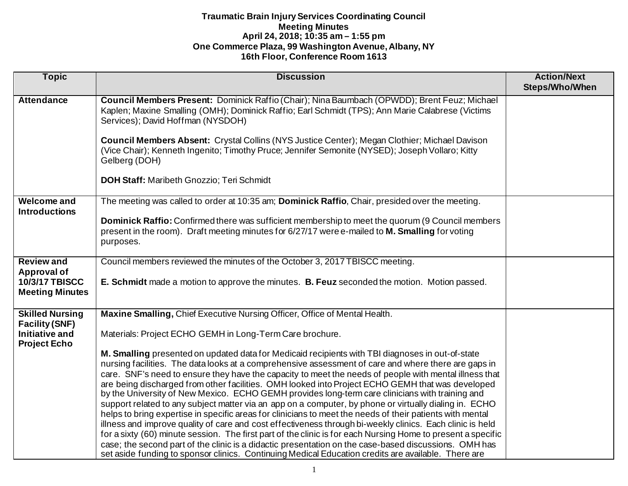| <b>Topic</b>                                    | <b>Discussion</b>                                                                                                                                                                                                                     | <b>Action/Next</b><br><b>Steps/Who/When</b> |
|-------------------------------------------------|---------------------------------------------------------------------------------------------------------------------------------------------------------------------------------------------------------------------------------------|---------------------------------------------|
|                                                 |                                                                                                                                                                                                                                       |                                             |
| <b>Attendance</b>                               | Council Members Present: Dominick Raffio (Chair); Nina Baumbach (OPWDD); Brent Feuz; Michael<br>Kaplen; Maxine Smalling (OMH); Dominick Raffio; Earl Schmidt (TPS); Ann Marie Calabrese (Victims<br>Services); David Hoffman (NYSDOH) |                                             |
|                                                 | Council Members Absent: Crystal Collins (NYS Justice Center); Megan Clothier; Michael Davison<br>(Vice Chair); Kenneth Ingenito; Timothy Pruce; Jennifer Semonite (NYSED); Joseph Vollaro; Kitty<br>Gelberg (DOH)                     |                                             |
|                                                 | <b>DOH Staff: Maribeth Gnozzio; Teri Schmidt</b>                                                                                                                                                                                      |                                             |
| <b>Welcome and</b>                              | The meeting was called to order at 10:35 am; Dominick Raffio, Chair, presided over the meeting.                                                                                                                                       |                                             |
| <b>Introductions</b>                            |                                                                                                                                                                                                                                       |                                             |
|                                                 | Dominick Raffio: Confirmed there was sufficient membership to meet the quorum (9 Council members<br>present in the room). Draft meeting minutes for 6/27/17 were e-mailed to M. Smalling for voting<br>purposes.                      |                                             |
| <b>Review and</b>                               | Council members reviewed the minutes of the October 3, 2017 TBISCC meeting.                                                                                                                                                           |                                             |
| <b>Approval of</b>                              |                                                                                                                                                                                                                                       |                                             |
| <b>10/3/17 TBISCC</b><br><b>Meeting Minutes</b> | E. Schmidt made a motion to approve the minutes. B. Feuz seconded the motion. Motion passed.                                                                                                                                          |                                             |
| <b>Skilled Nursing</b>                          | Maxine Smalling, Chief Executive Nursing Officer, Office of Mental Health.                                                                                                                                                            |                                             |
| <b>Facility (SNF)</b>                           |                                                                                                                                                                                                                                       |                                             |
| <b>Initiative and</b><br><b>Project Echo</b>    | Materials: Project ECHO GEMH in Long-Term Care brochure.                                                                                                                                                                              |                                             |
|                                                 | M. Smalling presented on updated data for Medicaid recipients with TBI diagnoses in out-of-state                                                                                                                                      |                                             |
|                                                 | nursing facilities. The data looks at a comprehensive assessment of care and where there are gaps in                                                                                                                                  |                                             |
|                                                 | care. SNF's need to ensure they have the capacity to meet the needs of people with mental illness that                                                                                                                                |                                             |
|                                                 | are being discharged from other facilities. OMH looked into Project ECHO GEMH that was developed                                                                                                                                      |                                             |
|                                                 | by the University of New Mexico. ECHO GEMH provides long-term care clinicians with training and<br>support related to any subject matter via an app on a computer, by phone or virtually dialing in. ECHO                             |                                             |
|                                                 | helps to bring expertise in specific areas for clinicians to meet the needs of their patients with mental                                                                                                                             |                                             |
|                                                 | illness and improve quality of care and cost effectiveness through bi-weekly clinics. Each clinic is held                                                                                                                             |                                             |
|                                                 | for a sixty (60) minute session. The first part of the clinic is for each Nursing Home to present a specific                                                                                                                          |                                             |
|                                                 | case; the second part of the clinic is a didactic presentation on the case-based discussions. OMH has                                                                                                                                 |                                             |
|                                                 | set aside funding to sponsor clinics. Continuing Medical Education credits are available. There are                                                                                                                                   |                                             |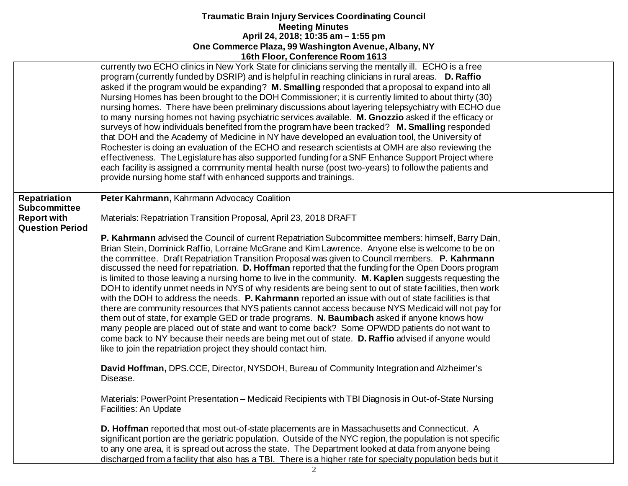|                        | <b>10011 1001, CONTEIGNCE ROOM 1013</b>                                                                                                                                                                                                                                                                                                                                                                                                                                                                                                                                                                                                                                                                                                                                                                                                                                                                                                                                                                                                                                                                                                                                                                                             |  |
|------------------------|-------------------------------------------------------------------------------------------------------------------------------------------------------------------------------------------------------------------------------------------------------------------------------------------------------------------------------------------------------------------------------------------------------------------------------------------------------------------------------------------------------------------------------------------------------------------------------------------------------------------------------------------------------------------------------------------------------------------------------------------------------------------------------------------------------------------------------------------------------------------------------------------------------------------------------------------------------------------------------------------------------------------------------------------------------------------------------------------------------------------------------------------------------------------------------------------------------------------------------------|--|
|                        | currently two ECHO clinics in New York State for clinicians serving the mentally ill. ECHO is a free<br>program (currently funded by DSRIP) and is helpful in reaching clinicians in rural areas. D. Raffio<br>asked if the program would be expanding? M. Smalling responded that a proposal to expand into all<br>Nursing Homes has been brought to the DOH Commissioner; it is currently limited to about thirty (30)<br>nursing homes. There have been preliminary discussions about layering telepsychiatry with ECHO due<br>to many nursing homes not having psychiatric services available. M. Gnozzio asked if the efficacy or<br>surveys of how individuals benefited from the program have been tracked? M. Smalling responded<br>that DOH and the Academy of Medicine in NY have developed an evaluation tool, the University of<br>Rochester is doing an evaluation of the ECHO and research scientists at OMH are also reviewing the<br>effectiveness. The Legislature has also supported funding for a SNF Enhance Support Project where<br>each facility is assigned a community mental health nurse (post two-years) to follow the patients and<br>provide nursing home staff with enhanced supports and trainings. |  |
| <b>Repatriation</b>    | Peter Kahrmann, Kahrmann Advocacy Coalition                                                                                                                                                                                                                                                                                                                                                                                                                                                                                                                                                                                                                                                                                                                                                                                                                                                                                                                                                                                                                                                                                                                                                                                         |  |
| <b>Subcommittee</b>    |                                                                                                                                                                                                                                                                                                                                                                                                                                                                                                                                                                                                                                                                                                                                                                                                                                                                                                                                                                                                                                                                                                                                                                                                                                     |  |
| <b>Report with</b>     | Materials: Repatriation Transition Proposal, April 23, 2018 DRAFT                                                                                                                                                                                                                                                                                                                                                                                                                                                                                                                                                                                                                                                                                                                                                                                                                                                                                                                                                                                                                                                                                                                                                                   |  |
| <b>Question Period</b> |                                                                                                                                                                                                                                                                                                                                                                                                                                                                                                                                                                                                                                                                                                                                                                                                                                                                                                                                                                                                                                                                                                                                                                                                                                     |  |
|                        | P. Kahrmann advised the Council of current Repatriation Subcommittee members: himself, Barry Dain,<br>Brian Stein, Dominick Raffio, Lorraine McGrane and Kim Lawrence. Anyone else is welcome to be on                                                                                                                                                                                                                                                                                                                                                                                                                                                                                                                                                                                                                                                                                                                                                                                                                                                                                                                                                                                                                              |  |
|                        | the committee. Draft Repatriation Transition Proposal was given to Council members. P. Kahrmann                                                                                                                                                                                                                                                                                                                                                                                                                                                                                                                                                                                                                                                                                                                                                                                                                                                                                                                                                                                                                                                                                                                                     |  |
|                        | discussed the need for repatriation. D. Hoffman reported that the funding for the Open Doors program                                                                                                                                                                                                                                                                                                                                                                                                                                                                                                                                                                                                                                                                                                                                                                                                                                                                                                                                                                                                                                                                                                                                |  |
|                        | is limited to those leaving a nursing home to live in the community. M. Kaplen suggests requesting the                                                                                                                                                                                                                                                                                                                                                                                                                                                                                                                                                                                                                                                                                                                                                                                                                                                                                                                                                                                                                                                                                                                              |  |
|                        | DOH to identify unmet needs in NYS of why residents are being sent to out of state facilities, then work                                                                                                                                                                                                                                                                                                                                                                                                                                                                                                                                                                                                                                                                                                                                                                                                                                                                                                                                                                                                                                                                                                                            |  |
|                        | with the DOH to address the needs. P. Kahrmann reported an issue with out of state facilities is that                                                                                                                                                                                                                                                                                                                                                                                                                                                                                                                                                                                                                                                                                                                                                                                                                                                                                                                                                                                                                                                                                                                               |  |
|                        | there are community resources that NYS patients cannot access because NYS Medicaid will not pay for                                                                                                                                                                                                                                                                                                                                                                                                                                                                                                                                                                                                                                                                                                                                                                                                                                                                                                                                                                                                                                                                                                                                 |  |
|                        | them out of state, for example GED or trade programs. N. Baumbach asked if anyone knows how                                                                                                                                                                                                                                                                                                                                                                                                                                                                                                                                                                                                                                                                                                                                                                                                                                                                                                                                                                                                                                                                                                                                         |  |
|                        | many people are placed out of state and want to come back? Some OPWDD patients do not want to<br>come back to NY because their needs are being met out of state. D. Raffio advised if anyone would                                                                                                                                                                                                                                                                                                                                                                                                                                                                                                                                                                                                                                                                                                                                                                                                                                                                                                                                                                                                                                  |  |
|                        | like to join the repatriation project they should contact him.                                                                                                                                                                                                                                                                                                                                                                                                                                                                                                                                                                                                                                                                                                                                                                                                                                                                                                                                                                                                                                                                                                                                                                      |  |
|                        |                                                                                                                                                                                                                                                                                                                                                                                                                                                                                                                                                                                                                                                                                                                                                                                                                                                                                                                                                                                                                                                                                                                                                                                                                                     |  |
|                        | David Hoffman, DPS.CCE, Director, NYSDOH, Bureau of Community Integration and Alzheimer's<br>Disease.                                                                                                                                                                                                                                                                                                                                                                                                                                                                                                                                                                                                                                                                                                                                                                                                                                                                                                                                                                                                                                                                                                                               |  |
|                        |                                                                                                                                                                                                                                                                                                                                                                                                                                                                                                                                                                                                                                                                                                                                                                                                                                                                                                                                                                                                                                                                                                                                                                                                                                     |  |
|                        | Materials: PowerPoint Presentation - Medicaid Recipients with TBI Diagnosis in Out-of-State Nursing                                                                                                                                                                                                                                                                                                                                                                                                                                                                                                                                                                                                                                                                                                                                                                                                                                                                                                                                                                                                                                                                                                                                 |  |
|                        | Facilities: An Update                                                                                                                                                                                                                                                                                                                                                                                                                                                                                                                                                                                                                                                                                                                                                                                                                                                                                                                                                                                                                                                                                                                                                                                                               |  |
|                        | D. Hoffman reported that most out-of-state placements are in Massachusetts and Connecticut. A                                                                                                                                                                                                                                                                                                                                                                                                                                                                                                                                                                                                                                                                                                                                                                                                                                                                                                                                                                                                                                                                                                                                       |  |
|                        | significant portion are the geriatric population. Outside of the NYC region, the population is not specific                                                                                                                                                                                                                                                                                                                                                                                                                                                                                                                                                                                                                                                                                                                                                                                                                                                                                                                                                                                                                                                                                                                         |  |
|                        | to any one area, it is spread out across the state. The Department looked at data from anyone being                                                                                                                                                                                                                                                                                                                                                                                                                                                                                                                                                                                                                                                                                                                                                                                                                                                                                                                                                                                                                                                                                                                                 |  |
|                        | discharged from a facility that also has a TBI. There is a higher rate for specialty population beds but it                                                                                                                                                                                                                                                                                                                                                                                                                                                                                                                                                                                                                                                                                                                                                                                                                                                                                                                                                                                                                                                                                                                         |  |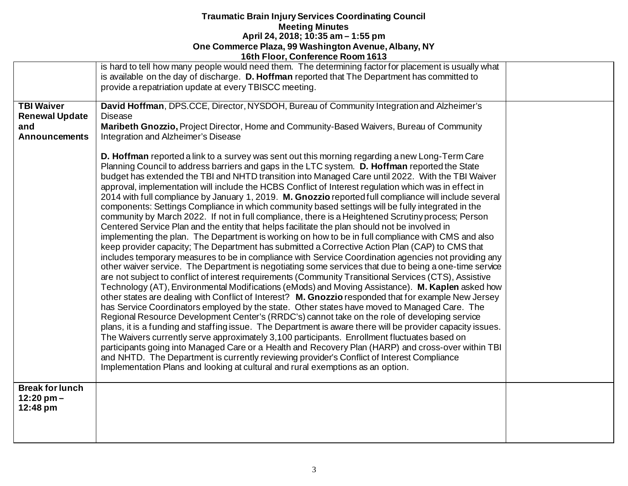|                                                                           | TOUT FIGOT, COMETEINE NOONT TO 13                                                                                                                                                                                                                                                                                                                                                                                                                                                                                                                                                                                                                                                                                                                                                                                                                                                                                                                                                                                                                                                                                                                                                                                                                                                                                                                                                                                                                                                                                                                                                                                                                                                                                                                                                                                                                                                                                                                                                                                                                                                                                                                                                                                                                                                             |  |
|---------------------------------------------------------------------------|-----------------------------------------------------------------------------------------------------------------------------------------------------------------------------------------------------------------------------------------------------------------------------------------------------------------------------------------------------------------------------------------------------------------------------------------------------------------------------------------------------------------------------------------------------------------------------------------------------------------------------------------------------------------------------------------------------------------------------------------------------------------------------------------------------------------------------------------------------------------------------------------------------------------------------------------------------------------------------------------------------------------------------------------------------------------------------------------------------------------------------------------------------------------------------------------------------------------------------------------------------------------------------------------------------------------------------------------------------------------------------------------------------------------------------------------------------------------------------------------------------------------------------------------------------------------------------------------------------------------------------------------------------------------------------------------------------------------------------------------------------------------------------------------------------------------------------------------------------------------------------------------------------------------------------------------------------------------------------------------------------------------------------------------------------------------------------------------------------------------------------------------------------------------------------------------------------------------------------------------------------------------------------------------------|--|
|                                                                           | is hard to tell how many people would need them. The determining factor for placement is usually what<br>is available on the day of discharge. D. Hoffman reported that The Department has committed to<br>provide a repatriation update at every TBISCC meeting.                                                                                                                                                                                                                                                                                                                                                                                                                                                                                                                                                                                                                                                                                                                                                                                                                                                                                                                                                                                                                                                                                                                                                                                                                                                                                                                                                                                                                                                                                                                                                                                                                                                                                                                                                                                                                                                                                                                                                                                                                             |  |
| <b>TBI Waiver</b><br><b>Renewal Update</b><br>and<br><b>Announcements</b> | David Hoffman, DPS.CCE, Director, NYSDOH, Bureau of Community Integration and Alzheimer's<br><b>Disease</b><br>Maribeth Gnozzio, Project Director, Home and Community-Based Waivers, Bureau of Community<br>Integration and Alzheimer's Disease                                                                                                                                                                                                                                                                                                                                                                                                                                                                                                                                                                                                                                                                                                                                                                                                                                                                                                                                                                                                                                                                                                                                                                                                                                                                                                                                                                                                                                                                                                                                                                                                                                                                                                                                                                                                                                                                                                                                                                                                                                               |  |
|                                                                           | D. Hoffman reported a link to a survey was sent out this morning regarding a new Long-Term Care<br>Planning Council to address barriers and gaps in the LTC system. D. Hoffman reported the State<br>budget has extended the TBI and NHTD transition into Managed Care until 2022. With the TBI Waiver<br>approval, implementation will include the HCBS Conflict of Interest regulation which was in effect in<br>2014 with full compliance by January 1, 2019. M. Gnozzio reported full compliance will include several<br>components: Settings Compliance in which community based settings will be fully integrated in the<br>community by March 2022. If not in full compliance, there is a Heightened Scrutiny process; Person<br>Centered Service Plan and the entity that helps facilitate the plan should not be involved in<br>implementing the plan. The Department is working on how to be in full compliance with CMS and also<br>keep provider capacity; The Department has submitted a Corrective Action Plan (CAP) to CMS that<br>includes temporary measures to be in compliance with Service Coordination agencies not providing any<br>other waiver service. The Department is negotiating some services that due to being a one-time service<br>are not subject to conflict of interest requirements (Community Transitional Services (CTS), Assistive<br>Technology (AT), Environmental Modifications (eMods) and Moving Assistance). M. Kaplen asked how<br>other states are dealing with Conflict of Interest? M. Gnozzio responded that for example New Jersey<br>has Service Coordinators employed by the state. Other states have moved to Managed Care. The<br>Regional Resource Development Center's (RRDC's) cannot take on the role of developing service<br>plans, it is a funding and staffing issue. The Department is aware there will be provider capacity issues.<br>The Waivers currently serve approximately 3,100 participants. Enrollment fluctuates based on<br>participants going into Managed Care or a Health and Recovery Plan (HARP) and cross-over within TBI<br>and NHTD. The Department is currently reviewing provider's Conflict of Interest Compliance<br>Implementation Plans and looking at cultural and rural exemptions as an option. |  |
| <b>Break for lunch</b><br>$12:20$ pm $-$<br>12:48 pm                      |                                                                                                                                                                                                                                                                                                                                                                                                                                                                                                                                                                                                                                                                                                                                                                                                                                                                                                                                                                                                                                                                                                                                                                                                                                                                                                                                                                                                                                                                                                                                                                                                                                                                                                                                                                                                                                                                                                                                                                                                                                                                                                                                                                                                                                                                                               |  |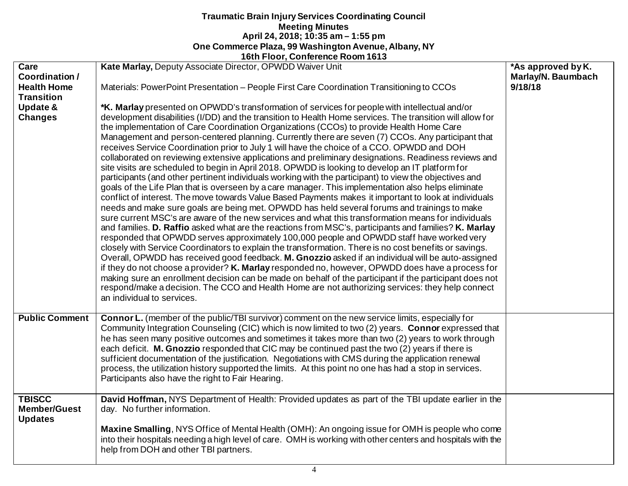|                       | FOIT FIGOL, COMPLETICE ROOM TO 19                                                                                                                                                                  |                    |
|-----------------------|----------------------------------------------------------------------------------------------------------------------------------------------------------------------------------------------------|--------------------|
| Care                  | Kate Marlay, Deputy Associate Director, OPWDD Waiver Unit                                                                                                                                          | *As approved by K. |
| Coordination /        |                                                                                                                                                                                                    | Marlay/N. Baumbach |
| <b>Health Home</b>    | Materials: PowerPoint Presentation – People First Care Coordination Transitioning to CCOs                                                                                                          | 9/18/18            |
| <b>Transition</b>     |                                                                                                                                                                                                    |                    |
| <b>Update &amp;</b>   | *K. Marlay presented on OPWDD's transformation of services for people with intellectual and/or                                                                                                     |                    |
| <b>Changes</b>        | development disabilities (I/DD) and the transition to Health Home services. The transition will allow for                                                                                          |                    |
|                       | the implementation of Care Coordination Organizations (CCOs) to provide Health Home Care                                                                                                           |                    |
|                       | Management and person-centered planning. Currently there are seven (7) CCOs. Any participant that                                                                                                  |                    |
|                       | receives Service Coordination prior to July 1 will have the choice of a CCO. OPWDD and DOH<br>collaborated on reviewing extensive applications and preliminary designations. Readiness reviews and |                    |
|                       | site visits are scheduled to begin in April 2018. OPWDD is looking to develop an IT platform for                                                                                                   |                    |
|                       | participants (and other pertinent individuals working with the participant) to view the objectives and                                                                                             |                    |
|                       | goals of the Life Plan that is overseen by a care manager. This implementation also helps eliminate                                                                                                |                    |
|                       | conflict of interest. The move towards Value Based Payments makes it important to look at individuals                                                                                              |                    |
|                       | needs and make sure goals are being met. OPWDD has held several forums and trainings to make                                                                                                       |                    |
|                       | sure current MSC's are aware of the new services and what this transformation means for individuals                                                                                                |                    |
|                       | and families. D. Raffio asked what are the reactions from MSC's, participants and families? K. Marlay                                                                                              |                    |
|                       | responded that OPWDD serves approximately 100,000 people and OPWDD staff have worked very                                                                                                          |                    |
|                       | closely with Service Coordinators to explain the transformation. There is no cost benefits or savings.                                                                                             |                    |
|                       | Overall, OPWDD has received good feedback. M. Gnozzio asked if an individual will be auto-assigned                                                                                                 |                    |
|                       | if they do not choose a provider? K. Marlay responded no, however, OPWDD does have a process for                                                                                                   |                    |
|                       | making sure an enrollment decision can be made on behalf of the participant if the participant does not                                                                                            |                    |
|                       | respond/make a decision. The CCO and Health Home are not authorizing services: they help connect                                                                                                   |                    |
|                       | an individual to services.                                                                                                                                                                         |                    |
|                       |                                                                                                                                                                                                    |                    |
| <b>Public Comment</b> | <b>Connor L.</b> (member of the public/TBI survivor) comment on the new service limits, especially for                                                                                             |                    |
|                       | Community Integration Counseling (CIC) which is now limited to two (2) years. Connor expressed that                                                                                                |                    |
|                       | he has seen many positive outcomes and sometimes it takes more than two (2) years to work through                                                                                                  |                    |
|                       | each deficit. M. Gnozzio responded that CIC may be continued past the two (2) years if there is                                                                                                    |                    |
|                       | sufficient documentation of the justification. Negotiations with CMS during the application renewal                                                                                                |                    |
|                       | process, the utilization history supported the limits. At this point no one has had a stop in services.                                                                                            |                    |
|                       | Participants also have the right to Fair Hearing.                                                                                                                                                  |                    |
| <b>TBISCC</b>         | David Hoffman, NYS Department of Health: Provided updates as part of the TBI update earlier in the                                                                                                 |                    |
| <b>Member/Guest</b>   | day. No further information.                                                                                                                                                                       |                    |
| <b>Updates</b>        |                                                                                                                                                                                                    |                    |
|                       | Maxine Smalling, NYS Office of Mental Health (OMH): An ongoing issue for OMH is people who come                                                                                                    |                    |
|                       | into their hospitals needing a high level of care. OMH is working with other centers and hospitals with the                                                                                        |                    |
|                       | help from DOH and other TBI partners.                                                                                                                                                              |                    |
|                       |                                                                                                                                                                                                    |                    |